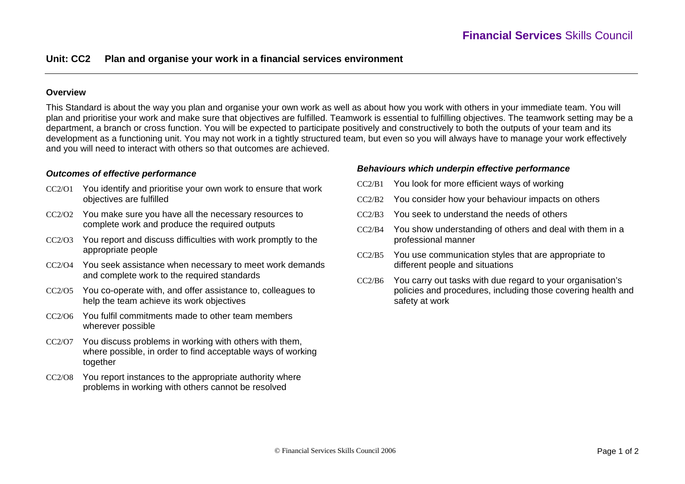# **Unit: CC2 Plan and organise your work in a financial services environment**

### **Overview**

This Standard is about the way you plan and organise your own work as well as about how you work with others in your immediate team. You will plan and prioritise your work and make sure that objectives are fulfilled. Teamwork is essential to fulfilling objectives. The teamwork setting may be a department, a branch or cross function. You will be expected to participate positively and constructively to both the outputs of your team and its development as a functioning unit. You may not work in a tightly structured team, but even so you will always have to manage your work effectively and you will need to interact with others so that outcomes are achieved.

### *Outcomes of effective performance*

- CC2/O1 You identify and prioritise your own work to ensure that work objectives are fulfilled
- CC2/O2 You make sure you have all the necessary resources to complete work and produce the required outputs
- CC2/O3 You report and discuss difficulties with work promptly to the appropriate people
- CC2/O4 You seek assistance when necessary to meet work demands and complete work to the required standards
- CC2/O5 You co-operate with, and offer assistance to, colleagues to help the team achieve its work objectives
- CC2/O6 You fulfil commitments made to other team members wherever possible
- CC2/O7 You discuss problems in working with others with them, where possible, in order to find acceptable ways of working together
- CC2/O8 You report instances to the appropriate authority where problems in working with others cannot be resolved

#### *Behaviours which underpin effective performance*

- CC2/B1 You look for more efficient ways of working
- CC2/B2 You consider how your behaviour impacts on others
- CC2/B3 You seek to understand the needs of others
- $CC2/B4$  You show understanding of others and deal with them in a professional manner
- CC2/B5 You use communication styles that are appropriate to different people and situations
- CC2/B6 You carry out tasks with due regard to your organisation's policies and procedures, including those covering health and safety at work